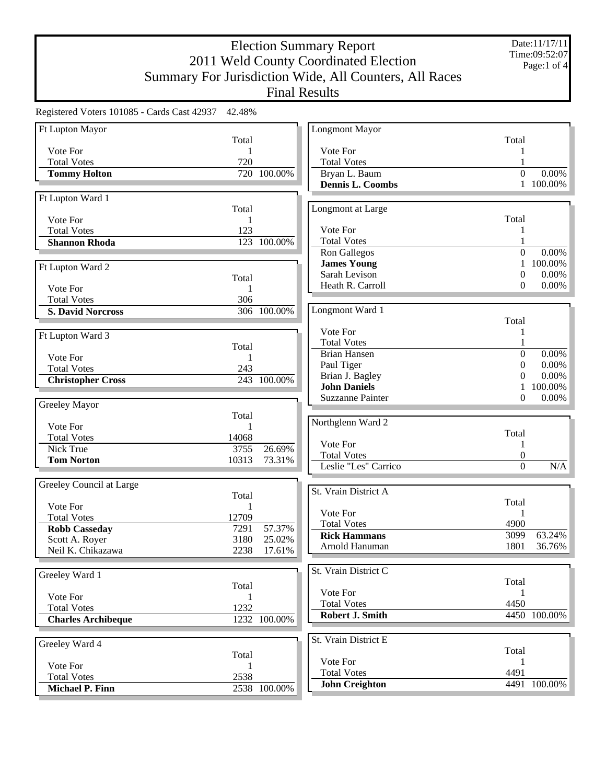Date:11/17/11 Time:09:52:07 Page:1 of 4

| Registered Voters 101085 - Cards Cast 42937 | 42.48% |              |                                |                  |              |
|---------------------------------------------|--------|--------------|--------------------------------|------------------|--------------|
| Ft Lupton Mayor                             |        |              | <b>Longmont Mayor</b>          |                  |              |
|                                             | Total  |              |                                | Total            |              |
| Vote For                                    | 1      |              | Vote For                       |                  |              |
| <b>Total Votes</b>                          | 720    |              | <b>Total Votes</b>             |                  |              |
| <b>Tommy Holton</b>                         |        | 720 100.00%  | Bryan L. Baum                  | $\Omega$         | 0.00%        |
|                                             |        |              | Dennis L. Coombs               |                  | 1 100.00%    |
| Ft Lupton Ward 1                            |        |              |                                |                  |              |
|                                             | Total  |              | Longmont at Large              |                  |              |
| Vote For                                    | 1      |              |                                | Total            |              |
| <b>Total Votes</b>                          | 123    |              | Vote For                       |                  |              |
| <b>Shannon Rhoda</b>                        |        | 123 100.00%  | <b>Total Votes</b>             |                  |              |
|                                             |        |              | Ron Gallegos                   | $\Omega$         | 0.00%        |
| Ft Lupton Ward 2                            |        |              | <b>James Young</b>             | 1                | 100.00%      |
|                                             | Total  |              | Sarah Levison                  | $\theta$         | 0.00%        |
| Vote For                                    | 1      |              | Heath R. Carroll               | $\Omega$         | 0.00%        |
| <b>Total Votes</b>                          | 306    |              |                                |                  |              |
| <b>S. David Norcross</b>                    |        | 306 100.00%  | Longmont Ward 1                |                  |              |
|                                             |        |              |                                | Total            |              |
| Ft Lupton Ward 3                            |        |              | Vote For                       |                  |              |
|                                             | Total  |              | <b>Total Votes</b>             |                  |              |
| Vote For                                    | 1      |              | <b>Brian Hansen</b>            | $\boldsymbol{0}$ | 0.00%        |
| <b>Total Votes</b>                          | 243    |              | Paul Tiger                     | $\theta$         | 0.00%        |
| <b>Christopher Cross</b>                    |        | 243 100.00%  | Brian J. Bagley                | 0                | 0.00%        |
|                                             |        |              | <b>John Daniels</b>            |                  | 100.00%      |
| Greeley Mayor                               |        |              | <b>Suzzanne Painter</b>        | 0                | 0.00%        |
|                                             | Total  |              |                                |                  |              |
| Vote For                                    | 1      |              | Northglenn Ward 2              |                  |              |
| <b>Total Votes</b>                          | 14068  |              |                                | Total            |              |
| Nick True                                   | 3755   | 26.69%       | Vote For                       | 1                |              |
| <b>Tom Norton</b>                           | 10313  | 73.31%       | <b>Total Votes</b>             | 0                |              |
|                                             |        |              | Leslie "Les" Carrico           | $\boldsymbol{0}$ | N/A          |
| Greeley Council at Large                    |        |              |                                |                  |              |
|                                             | Total  |              | St. Vrain District A           |                  |              |
| Vote For                                    | 1      |              |                                | Total            |              |
| <b>Total Votes</b>                          | 12709  |              | Vote For                       | 1                |              |
| <b>Robb Casseday</b>                        | 7291   | 57.37%       | <b>Total Votes</b>             | 4900             |              |
| Scott A. Royer                              | 3180   | 25.02%       | <b>Rick Hammans</b>            | 3099             | 63.24%       |
| Neil K. Chikazawa                           | 2238   | 17.61%       | Arnold Hanuman                 | 1801             | 36.76%       |
|                                             |        |              |                                |                  |              |
| Greeley Ward 1                              |        |              | St. Vrain District C           |                  |              |
|                                             | Total  |              | Vote For                       | Total            |              |
| Vote For                                    | 1      |              | <b>Total Votes</b>             | 1<br>4450        |              |
| <b>Total Votes</b>                          | 1232   |              | <b>Robert J. Smith</b>         |                  | 4450 100.00% |
| <b>Charles Archibeque</b>                   |        | 1232 100.00% |                                |                  |              |
|                                             |        |              |                                |                  |              |
| Greeley Ward 4                              |        |              | St. Vrain District E           |                  |              |
|                                             | Total  |              |                                | Total            |              |
| Vote For                                    | 1      |              | Vote For<br><b>Total Votes</b> | 1<br>4491        |              |
| <b>Total Votes</b>                          | 2538   |              |                                |                  | 4491 100.00% |
| <b>Michael P. Finn</b>                      |        | 2538 100.00% | <b>John Creighton</b>          |                  |              |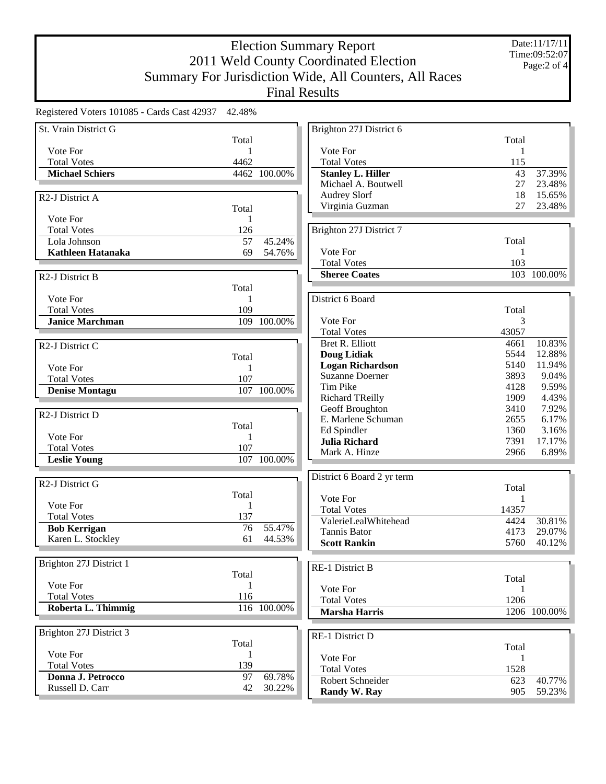Registered Voters 101085 - Cards Cast 42937 42.48%

| St. Vrain District G         |                 |                        | Brighton 27J District 6    |       |              |
|------------------------------|-----------------|------------------------|----------------------------|-------|--------------|
|                              | Total           |                        |                            | Total |              |
| Vote For                     | 1               |                        | Vote For                   | 1     |              |
| <b>Total Votes</b>           | 4462            |                        | <b>Total Votes</b>         | 115   |              |
| <b>Michael Schiers</b>       |                 | 4462 100.00%           | <b>Stanley L. Hiller</b>   | 43    | 37.39%       |
|                              |                 |                        | Michael A. Boutwell        | 27    | 23.48%       |
| R <sub>2</sub> -J District A |                 |                        | <b>Audrey Slorf</b>        | 18    | 15.65%       |
|                              | Total           |                        | Virginia Guzman            | 27    | 23.48%       |
| Vote For                     | 1               |                        |                            |       |              |
| <b>Total Votes</b>           | 126             |                        | Brighton 27J District 7    |       |              |
| Lola Johnson                 | $\overline{57}$ | 45.24%                 |                            | Total |              |
| Kathleen Hatanaka            | 69              | 54.76%                 | Vote For                   |       |              |
|                              |                 |                        | <b>Total Votes</b>         | 103   |              |
|                              |                 |                        | <b>Sheree Coates</b>       |       | 103 100.00%  |
| R <sub>2</sub> -J District B |                 |                        |                            |       |              |
| Vote For                     | Total<br>1      |                        | District 6 Board           |       |              |
| <b>Total Votes</b>           | 109             |                        |                            | Total |              |
| <b>Janice Marchman</b>       |                 | 109 100.00%            | Vote For                   | 3     |              |
|                              |                 |                        | <b>Total Votes</b>         | 43057 |              |
|                              |                 |                        | Bret R. Elliott            | 4661  | 10.83%       |
| R <sub>2</sub> -J District C |                 |                        | <b>Doug Lidiak</b>         | 5544  | 12.88%       |
|                              | Total           |                        | <b>Logan Richardson</b>    | 5140  | 11.94%       |
| Vote For                     | 1               |                        | <b>Suzanne Doerner</b>     | 3893  | 9.04%        |
| <b>Total Votes</b>           | 107             |                        | Tim Pike                   | 4128  | 9.59%        |
| <b>Denise Montagu</b>        |                 | 107 100.00%            | <b>Richard TReilly</b>     | 1909  | 4.43%        |
|                              |                 |                        | Geoff Broughton            | 3410  | 7.92%        |
| R <sub>2</sub> -J District D |                 |                        | E. Marlene Schuman         | 2655  | 6.17%        |
|                              | Total           |                        | Ed Spindler                | 1360  | 3.16%        |
| Vote For                     | 1               |                        | <b>Julia Richard</b>       | 7391  | 17.17%       |
| <b>Total Votes</b>           | 107             |                        | Mark A. Hinze              | 2966  | 6.89%        |
| <b>Leslie Young</b>          |                 | $\frac{107}{100.00\%}$ |                            |       |              |
|                              |                 |                        | District 6 Board 2 yr term |       |              |
| R <sub>2</sub> -J District G |                 |                        |                            | Total |              |
|                              | Total           |                        | Vote For                   | 1     |              |
| Vote For                     | 1               |                        | <b>Total Votes</b>         | 14357 |              |
| <b>Total Votes</b>           | 137             |                        | ValerieLealWhitehead       | 4424  | 30.81%       |
| <b>Bob Kerrigan</b>          | 76              | 55.47%                 | Tannis Bator               | 4173  | 29.07%       |
| Karen L. Stockley            | 61              | 44.53%                 | <b>Scott Rankin</b>        | 5760  | 40.12%       |
|                              |                 |                        |                            |       |              |
| Brighton 27J District 1      |                 |                        | RE-1 District B            |       |              |
|                              | Total           |                        |                            | Total |              |
| Vote For                     | 1               |                        | Vote For                   |       |              |
| <b>Total Votes</b>           | 116             |                        | <b>Total Votes</b>         | 1206  |              |
| Roberta L. Thimmig           |                 | 116 100.00%            | <b>Marsha Harris</b>       |       | 1206 100.00% |
|                              |                 |                        |                            |       |              |
| Brighton 27J District 3      |                 |                        |                            |       |              |
|                              | Total           |                        | RE-1 District D            |       |              |
| Vote For                     |                 |                        |                            | Total |              |
| <b>Total Votes</b>           | 139             |                        | Vote For                   | 1     |              |
| Donna J. Petrocco            | 97              | 69.78%                 | <b>Total Votes</b>         | 1528  |              |
| Russell D. Carr              | 42              | 30.22%                 | Robert Schneider           | 623   | 40.77%       |
|                              |                 |                        | Randy W. Ray               | 905   | 59.23%       |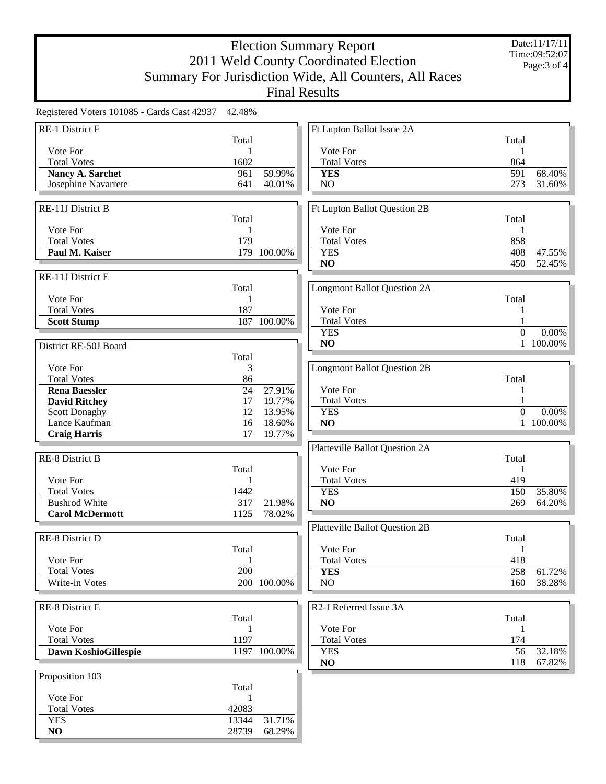| RE-1 District F<br>Ft Lupton Ballot Issue 2A<br>Total<br>Total<br>Vote For<br>Vote For<br>1<br>1<br>1602<br><b>Total Votes</b><br>864<br><b>Total Votes</b><br>59.99%<br>591<br>68.40%<br><b>Nancy A. Sarchet</b><br>961<br><b>YES</b><br>Josephine Navarrete<br>641<br>40.01%<br>NO<br>273<br>31.60%<br>RE-11J District B<br>Ft Lupton Ballot Question 2B<br>Total<br>Total<br>Vote For<br>Vote For<br>1<br>1<br>858<br><b>Total Votes</b><br>179<br><b>Total Votes</b><br>179 100.00%<br><b>YES</b><br>408<br>47.55%<br>Paul M. Kaiser<br>NO<br>450<br>52.45%<br><b>Longmont Ballot Question 2A</b><br>Total<br>Vote For<br>Total<br>1<br><b>Total Votes</b><br>187<br>Vote For<br>1<br><b>Total Votes</b><br>$\mathbf{1}$<br>187 100.00%<br><b>Scott Stump</b><br>$\boldsymbol{0}$<br>0.00%<br><b>YES</b><br>1 100.00%<br>N <sub>O</sub><br>District RE-50J Board<br>Total<br>Vote For<br>3<br><b>Longmont Ballot Question 2B</b><br>86<br><b>Total Votes</b><br>Total<br>27.91%<br>Vote For<br>24<br><b>Rena Baessler</b><br>1<br><b>Total Votes</b><br>19.77%<br><b>David Ritchey</b><br>17<br>$\overline{0}$<br>$0.00\%$<br><b>Scott Donaghy</b><br>12<br>13.95%<br><b>YES</b><br>Lance Kaufman<br>16<br>18.60%<br>NO<br>1 100.00%<br><b>Craig Harris</b><br>17<br>19.77%<br>Platteville Ballot Question 2A<br><b>RE-8 District B</b><br>Total<br>Vote For<br>Total<br>1<br>Vote For<br>419<br>1<br><b>Total Votes</b><br><b>Total Votes</b><br>1442<br>150<br><b>YES</b><br>35.80%<br><b>Bushrod White</b><br>317<br>21.98%<br>64.20%<br>NO<br>269<br><b>Carol McDermott</b><br>1125<br>78.02%<br><b>Platteville Ballot Question 2B</b><br>RE-8 District D<br>Total<br>Vote For<br>Total<br>1<br>Vote For<br><b>Total Votes</b><br>418<br>1<br><b>Total Votes</b><br>200<br>258<br>61.72%<br><b>YES</b><br>Write-in Votes<br>200 100.00%<br>NO<br>160<br>38.28%<br>RE-8 District E<br>R2-J Referred Issue 3A<br>Total<br>Total<br>Vote For<br>Vote For<br>1<br>1<br>1197<br><b>Total Votes</b><br>174<br><b>Total Votes</b><br>1197 100.00%<br>56<br>Dawn KoshioGillespie<br><b>YES</b><br>32.18%<br>67.82%<br>NO<br>118<br>Proposition 103<br>Total<br>Vote For<br>1<br>42083<br><b>Total Votes</b><br>13344<br>31.71%<br><b>YES</b><br>28739<br>68.29%<br>NO | Registered Voters 101085 - Cards Cast 42937 42.48% |  |  |  |
|-----------------------------------------------------------------------------------------------------------------------------------------------------------------------------------------------------------------------------------------------------------------------------------------------------------------------------------------------------------------------------------------------------------------------------------------------------------------------------------------------------------------------------------------------------------------------------------------------------------------------------------------------------------------------------------------------------------------------------------------------------------------------------------------------------------------------------------------------------------------------------------------------------------------------------------------------------------------------------------------------------------------------------------------------------------------------------------------------------------------------------------------------------------------------------------------------------------------------------------------------------------------------------------------------------------------------------------------------------------------------------------------------------------------------------------------------------------------------------------------------------------------------------------------------------------------------------------------------------------------------------------------------------------------------------------------------------------------------------------------------------------------------------------------------------------------------------------------------------------------------------------------------------------------------------------------------------------------------------------------------------------------------------------------------------------------------------------------------------------------------------------------------------------------------------------------------------------------------------------------------------------------------|----------------------------------------------------|--|--|--|
|                                                                                                                                                                                                                                                                                                                                                                                                                                                                                                                                                                                                                                                                                                                                                                                                                                                                                                                                                                                                                                                                                                                                                                                                                                                                                                                                                                                                                                                                                                                                                                                                                                                                                                                                                                                                                                                                                                                                                                                                                                                                                                                                                                                                                                                                       |                                                    |  |  |  |
|                                                                                                                                                                                                                                                                                                                                                                                                                                                                                                                                                                                                                                                                                                                                                                                                                                                                                                                                                                                                                                                                                                                                                                                                                                                                                                                                                                                                                                                                                                                                                                                                                                                                                                                                                                                                                                                                                                                                                                                                                                                                                                                                                                                                                                                                       |                                                    |  |  |  |
|                                                                                                                                                                                                                                                                                                                                                                                                                                                                                                                                                                                                                                                                                                                                                                                                                                                                                                                                                                                                                                                                                                                                                                                                                                                                                                                                                                                                                                                                                                                                                                                                                                                                                                                                                                                                                                                                                                                                                                                                                                                                                                                                                                                                                                                                       |                                                    |  |  |  |
|                                                                                                                                                                                                                                                                                                                                                                                                                                                                                                                                                                                                                                                                                                                                                                                                                                                                                                                                                                                                                                                                                                                                                                                                                                                                                                                                                                                                                                                                                                                                                                                                                                                                                                                                                                                                                                                                                                                                                                                                                                                                                                                                                                                                                                                                       |                                                    |  |  |  |
|                                                                                                                                                                                                                                                                                                                                                                                                                                                                                                                                                                                                                                                                                                                                                                                                                                                                                                                                                                                                                                                                                                                                                                                                                                                                                                                                                                                                                                                                                                                                                                                                                                                                                                                                                                                                                                                                                                                                                                                                                                                                                                                                                                                                                                                                       |                                                    |  |  |  |
|                                                                                                                                                                                                                                                                                                                                                                                                                                                                                                                                                                                                                                                                                                                                                                                                                                                                                                                                                                                                                                                                                                                                                                                                                                                                                                                                                                                                                                                                                                                                                                                                                                                                                                                                                                                                                                                                                                                                                                                                                                                                                                                                                                                                                                                                       |                                                    |  |  |  |
|                                                                                                                                                                                                                                                                                                                                                                                                                                                                                                                                                                                                                                                                                                                                                                                                                                                                                                                                                                                                                                                                                                                                                                                                                                                                                                                                                                                                                                                                                                                                                                                                                                                                                                                                                                                                                                                                                                                                                                                                                                                                                                                                                                                                                                                                       |                                                    |  |  |  |
|                                                                                                                                                                                                                                                                                                                                                                                                                                                                                                                                                                                                                                                                                                                                                                                                                                                                                                                                                                                                                                                                                                                                                                                                                                                                                                                                                                                                                                                                                                                                                                                                                                                                                                                                                                                                                                                                                                                                                                                                                                                                                                                                                                                                                                                                       |                                                    |  |  |  |
|                                                                                                                                                                                                                                                                                                                                                                                                                                                                                                                                                                                                                                                                                                                                                                                                                                                                                                                                                                                                                                                                                                                                                                                                                                                                                                                                                                                                                                                                                                                                                                                                                                                                                                                                                                                                                                                                                                                                                                                                                                                                                                                                                                                                                                                                       |                                                    |  |  |  |
|                                                                                                                                                                                                                                                                                                                                                                                                                                                                                                                                                                                                                                                                                                                                                                                                                                                                                                                                                                                                                                                                                                                                                                                                                                                                                                                                                                                                                                                                                                                                                                                                                                                                                                                                                                                                                                                                                                                                                                                                                                                                                                                                                                                                                                                                       |                                                    |  |  |  |
|                                                                                                                                                                                                                                                                                                                                                                                                                                                                                                                                                                                                                                                                                                                                                                                                                                                                                                                                                                                                                                                                                                                                                                                                                                                                                                                                                                                                                                                                                                                                                                                                                                                                                                                                                                                                                                                                                                                                                                                                                                                                                                                                                                                                                                                                       |                                                    |  |  |  |
|                                                                                                                                                                                                                                                                                                                                                                                                                                                                                                                                                                                                                                                                                                                                                                                                                                                                                                                                                                                                                                                                                                                                                                                                                                                                                                                                                                                                                                                                                                                                                                                                                                                                                                                                                                                                                                                                                                                                                                                                                                                                                                                                                                                                                                                                       |                                                    |  |  |  |
|                                                                                                                                                                                                                                                                                                                                                                                                                                                                                                                                                                                                                                                                                                                                                                                                                                                                                                                                                                                                                                                                                                                                                                                                                                                                                                                                                                                                                                                                                                                                                                                                                                                                                                                                                                                                                                                                                                                                                                                                                                                                                                                                                                                                                                                                       | RE-11J District E                                  |  |  |  |
|                                                                                                                                                                                                                                                                                                                                                                                                                                                                                                                                                                                                                                                                                                                                                                                                                                                                                                                                                                                                                                                                                                                                                                                                                                                                                                                                                                                                                                                                                                                                                                                                                                                                                                                                                                                                                                                                                                                                                                                                                                                                                                                                                                                                                                                                       |                                                    |  |  |  |
|                                                                                                                                                                                                                                                                                                                                                                                                                                                                                                                                                                                                                                                                                                                                                                                                                                                                                                                                                                                                                                                                                                                                                                                                                                                                                                                                                                                                                                                                                                                                                                                                                                                                                                                                                                                                                                                                                                                                                                                                                                                                                                                                                                                                                                                                       |                                                    |  |  |  |
|                                                                                                                                                                                                                                                                                                                                                                                                                                                                                                                                                                                                                                                                                                                                                                                                                                                                                                                                                                                                                                                                                                                                                                                                                                                                                                                                                                                                                                                                                                                                                                                                                                                                                                                                                                                                                                                                                                                                                                                                                                                                                                                                                                                                                                                                       |                                                    |  |  |  |
|                                                                                                                                                                                                                                                                                                                                                                                                                                                                                                                                                                                                                                                                                                                                                                                                                                                                                                                                                                                                                                                                                                                                                                                                                                                                                                                                                                                                                                                                                                                                                                                                                                                                                                                                                                                                                                                                                                                                                                                                                                                                                                                                                                                                                                                                       |                                                    |  |  |  |
|                                                                                                                                                                                                                                                                                                                                                                                                                                                                                                                                                                                                                                                                                                                                                                                                                                                                                                                                                                                                                                                                                                                                                                                                                                                                                                                                                                                                                                                                                                                                                                                                                                                                                                                                                                                                                                                                                                                                                                                                                                                                                                                                                                                                                                                                       |                                                    |  |  |  |
|                                                                                                                                                                                                                                                                                                                                                                                                                                                                                                                                                                                                                                                                                                                                                                                                                                                                                                                                                                                                                                                                                                                                                                                                                                                                                                                                                                                                                                                                                                                                                                                                                                                                                                                                                                                                                                                                                                                                                                                                                                                                                                                                                                                                                                                                       |                                                    |  |  |  |
|                                                                                                                                                                                                                                                                                                                                                                                                                                                                                                                                                                                                                                                                                                                                                                                                                                                                                                                                                                                                                                                                                                                                                                                                                                                                                                                                                                                                                                                                                                                                                                                                                                                                                                                                                                                                                                                                                                                                                                                                                                                                                                                                                                                                                                                                       |                                                    |  |  |  |
|                                                                                                                                                                                                                                                                                                                                                                                                                                                                                                                                                                                                                                                                                                                                                                                                                                                                                                                                                                                                                                                                                                                                                                                                                                                                                                                                                                                                                                                                                                                                                                                                                                                                                                                                                                                                                                                                                                                                                                                                                                                                                                                                                                                                                                                                       |                                                    |  |  |  |
|                                                                                                                                                                                                                                                                                                                                                                                                                                                                                                                                                                                                                                                                                                                                                                                                                                                                                                                                                                                                                                                                                                                                                                                                                                                                                                                                                                                                                                                                                                                                                                                                                                                                                                                                                                                                                                                                                                                                                                                                                                                                                                                                                                                                                                                                       |                                                    |  |  |  |
|                                                                                                                                                                                                                                                                                                                                                                                                                                                                                                                                                                                                                                                                                                                                                                                                                                                                                                                                                                                                                                                                                                                                                                                                                                                                                                                                                                                                                                                                                                                                                                                                                                                                                                                                                                                                                                                                                                                                                                                                                                                                                                                                                                                                                                                                       |                                                    |  |  |  |
|                                                                                                                                                                                                                                                                                                                                                                                                                                                                                                                                                                                                                                                                                                                                                                                                                                                                                                                                                                                                                                                                                                                                                                                                                                                                                                                                                                                                                                                                                                                                                                                                                                                                                                                                                                                                                                                                                                                                                                                                                                                                                                                                                                                                                                                                       |                                                    |  |  |  |
|                                                                                                                                                                                                                                                                                                                                                                                                                                                                                                                                                                                                                                                                                                                                                                                                                                                                                                                                                                                                                                                                                                                                                                                                                                                                                                                                                                                                                                                                                                                                                                                                                                                                                                                                                                                                                                                                                                                                                                                                                                                                                                                                                                                                                                                                       |                                                    |  |  |  |
|                                                                                                                                                                                                                                                                                                                                                                                                                                                                                                                                                                                                                                                                                                                                                                                                                                                                                                                                                                                                                                                                                                                                                                                                                                                                                                                                                                                                                                                                                                                                                                                                                                                                                                                                                                                                                                                                                                                                                                                                                                                                                                                                                                                                                                                                       |                                                    |  |  |  |
|                                                                                                                                                                                                                                                                                                                                                                                                                                                                                                                                                                                                                                                                                                                                                                                                                                                                                                                                                                                                                                                                                                                                                                                                                                                                                                                                                                                                                                                                                                                                                                                                                                                                                                                                                                                                                                                                                                                                                                                                                                                                                                                                                                                                                                                                       |                                                    |  |  |  |
|                                                                                                                                                                                                                                                                                                                                                                                                                                                                                                                                                                                                                                                                                                                                                                                                                                                                                                                                                                                                                                                                                                                                                                                                                                                                                                                                                                                                                                                                                                                                                                                                                                                                                                                                                                                                                                                                                                                                                                                                                                                                                                                                                                                                                                                                       |                                                    |  |  |  |
|                                                                                                                                                                                                                                                                                                                                                                                                                                                                                                                                                                                                                                                                                                                                                                                                                                                                                                                                                                                                                                                                                                                                                                                                                                                                                                                                                                                                                                                                                                                                                                                                                                                                                                                                                                                                                                                                                                                                                                                                                                                                                                                                                                                                                                                                       |                                                    |  |  |  |
|                                                                                                                                                                                                                                                                                                                                                                                                                                                                                                                                                                                                                                                                                                                                                                                                                                                                                                                                                                                                                                                                                                                                                                                                                                                                                                                                                                                                                                                                                                                                                                                                                                                                                                                                                                                                                                                                                                                                                                                                                                                                                                                                                                                                                                                                       |                                                    |  |  |  |
|                                                                                                                                                                                                                                                                                                                                                                                                                                                                                                                                                                                                                                                                                                                                                                                                                                                                                                                                                                                                                                                                                                                                                                                                                                                                                                                                                                                                                                                                                                                                                                                                                                                                                                                                                                                                                                                                                                                                                                                                                                                                                                                                                                                                                                                                       |                                                    |  |  |  |
|                                                                                                                                                                                                                                                                                                                                                                                                                                                                                                                                                                                                                                                                                                                                                                                                                                                                                                                                                                                                                                                                                                                                                                                                                                                                                                                                                                                                                                                                                                                                                                                                                                                                                                                                                                                                                                                                                                                                                                                                                                                                                                                                                                                                                                                                       |                                                    |  |  |  |
|                                                                                                                                                                                                                                                                                                                                                                                                                                                                                                                                                                                                                                                                                                                                                                                                                                                                                                                                                                                                                                                                                                                                                                                                                                                                                                                                                                                                                                                                                                                                                                                                                                                                                                                                                                                                                                                                                                                                                                                                                                                                                                                                                                                                                                                                       |                                                    |  |  |  |
|                                                                                                                                                                                                                                                                                                                                                                                                                                                                                                                                                                                                                                                                                                                                                                                                                                                                                                                                                                                                                                                                                                                                                                                                                                                                                                                                                                                                                                                                                                                                                                                                                                                                                                                                                                                                                                                                                                                                                                                                                                                                                                                                                                                                                                                                       |                                                    |  |  |  |
|                                                                                                                                                                                                                                                                                                                                                                                                                                                                                                                                                                                                                                                                                                                                                                                                                                                                                                                                                                                                                                                                                                                                                                                                                                                                                                                                                                                                                                                                                                                                                                                                                                                                                                                                                                                                                                                                                                                                                                                                                                                                                                                                                                                                                                                                       |                                                    |  |  |  |
|                                                                                                                                                                                                                                                                                                                                                                                                                                                                                                                                                                                                                                                                                                                                                                                                                                                                                                                                                                                                                                                                                                                                                                                                                                                                                                                                                                                                                                                                                                                                                                                                                                                                                                                                                                                                                                                                                                                                                                                                                                                                                                                                                                                                                                                                       |                                                    |  |  |  |
|                                                                                                                                                                                                                                                                                                                                                                                                                                                                                                                                                                                                                                                                                                                                                                                                                                                                                                                                                                                                                                                                                                                                                                                                                                                                                                                                                                                                                                                                                                                                                                                                                                                                                                                                                                                                                                                                                                                                                                                                                                                                                                                                                                                                                                                                       |                                                    |  |  |  |
|                                                                                                                                                                                                                                                                                                                                                                                                                                                                                                                                                                                                                                                                                                                                                                                                                                                                                                                                                                                                                                                                                                                                                                                                                                                                                                                                                                                                                                                                                                                                                                                                                                                                                                                                                                                                                                                                                                                                                                                                                                                                                                                                                                                                                                                                       |                                                    |  |  |  |
|                                                                                                                                                                                                                                                                                                                                                                                                                                                                                                                                                                                                                                                                                                                                                                                                                                                                                                                                                                                                                                                                                                                                                                                                                                                                                                                                                                                                                                                                                                                                                                                                                                                                                                                                                                                                                                                                                                                                                                                                                                                                                                                                                                                                                                                                       |                                                    |  |  |  |
|                                                                                                                                                                                                                                                                                                                                                                                                                                                                                                                                                                                                                                                                                                                                                                                                                                                                                                                                                                                                                                                                                                                                                                                                                                                                                                                                                                                                                                                                                                                                                                                                                                                                                                                                                                                                                                                                                                                                                                                                                                                                                                                                                                                                                                                                       |                                                    |  |  |  |
|                                                                                                                                                                                                                                                                                                                                                                                                                                                                                                                                                                                                                                                                                                                                                                                                                                                                                                                                                                                                                                                                                                                                                                                                                                                                                                                                                                                                                                                                                                                                                                                                                                                                                                                                                                                                                                                                                                                                                                                                                                                                                                                                                                                                                                                                       |                                                    |  |  |  |
|                                                                                                                                                                                                                                                                                                                                                                                                                                                                                                                                                                                                                                                                                                                                                                                                                                                                                                                                                                                                                                                                                                                                                                                                                                                                                                                                                                                                                                                                                                                                                                                                                                                                                                                                                                                                                                                                                                                                                                                                                                                                                                                                                                                                                                                                       |                                                    |  |  |  |
|                                                                                                                                                                                                                                                                                                                                                                                                                                                                                                                                                                                                                                                                                                                                                                                                                                                                                                                                                                                                                                                                                                                                                                                                                                                                                                                                                                                                                                                                                                                                                                                                                                                                                                                                                                                                                                                                                                                                                                                                                                                                                                                                                                                                                                                                       |                                                    |  |  |  |
|                                                                                                                                                                                                                                                                                                                                                                                                                                                                                                                                                                                                                                                                                                                                                                                                                                                                                                                                                                                                                                                                                                                                                                                                                                                                                                                                                                                                                                                                                                                                                                                                                                                                                                                                                                                                                                                                                                                                                                                                                                                                                                                                                                                                                                                                       |                                                    |  |  |  |
|                                                                                                                                                                                                                                                                                                                                                                                                                                                                                                                                                                                                                                                                                                                                                                                                                                                                                                                                                                                                                                                                                                                                                                                                                                                                                                                                                                                                                                                                                                                                                                                                                                                                                                                                                                                                                                                                                                                                                                                                                                                                                                                                                                                                                                                                       |                                                    |  |  |  |
|                                                                                                                                                                                                                                                                                                                                                                                                                                                                                                                                                                                                                                                                                                                                                                                                                                                                                                                                                                                                                                                                                                                                                                                                                                                                                                                                                                                                                                                                                                                                                                                                                                                                                                                                                                                                                                                                                                                                                                                                                                                                                                                                                                                                                                                                       |                                                    |  |  |  |
|                                                                                                                                                                                                                                                                                                                                                                                                                                                                                                                                                                                                                                                                                                                                                                                                                                                                                                                                                                                                                                                                                                                                                                                                                                                                                                                                                                                                                                                                                                                                                                                                                                                                                                                                                                                                                                                                                                                                                                                                                                                                                                                                                                                                                                                                       |                                                    |  |  |  |
|                                                                                                                                                                                                                                                                                                                                                                                                                                                                                                                                                                                                                                                                                                                                                                                                                                                                                                                                                                                                                                                                                                                                                                                                                                                                                                                                                                                                                                                                                                                                                                                                                                                                                                                                                                                                                                                                                                                                                                                                                                                                                                                                                                                                                                                                       |                                                    |  |  |  |
|                                                                                                                                                                                                                                                                                                                                                                                                                                                                                                                                                                                                                                                                                                                                                                                                                                                                                                                                                                                                                                                                                                                                                                                                                                                                                                                                                                                                                                                                                                                                                                                                                                                                                                                                                                                                                                                                                                                                                                                                                                                                                                                                                                                                                                                                       |                                                    |  |  |  |
|                                                                                                                                                                                                                                                                                                                                                                                                                                                                                                                                                                                                                                                                                                                                                                                                                                                                                                                                                                                                                                                                                                                                                                                                                                                                                                                                                                                                                                                                                                                                                                                                                                                                                                                                                                                                                                                                                                                                                                                                                                                                                                                                                                                                                                                                       |                                                    |  |  |  |
|                                                                                                                                                                                                                                                                                                                                                                                                                                                                                                                                                                                                                                                                                                                                                                                                                                                                                                                                                                                                                                                                                                                                                                                                                                                                                                                                                                                                                                                                                                                                                                                                                                                                                                                                                                                                                                                                                                                                                                                                                                                                                                                                                                                                                                                                       |                                                    |  |  |  |